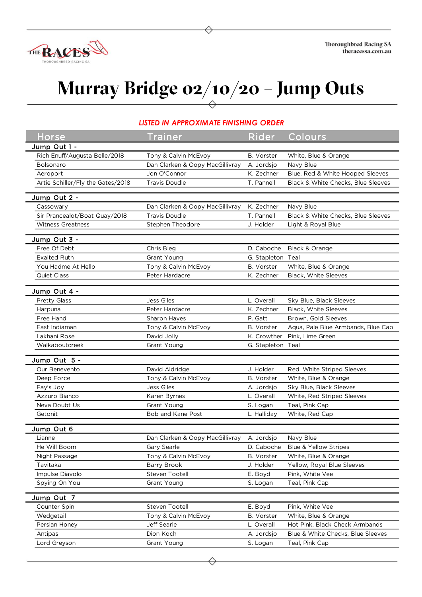

## **Murray Bridge 02/10/20 – Jump Outs**

## *LISTED IN APPROXIMATE FINISHING ORDER*

| Horse                             | <b>Trainer</b>                             | Rider             | Colours                            |
|-----------------------------------|--------------------------------------------|-------------------|------------------------------------|
| Jump Out 1 -                      |                                            |                   |                                    |
| Rich Enuff/Augusta Belle/2018     | Tony & Calvin McEvoy                       | B. Vorster        | White, Blue & Orange               |
| Bolsonaro                         | Dan Clarken & Oopy MacGillivray            | A. Jordsjo        | Navy Blue                          |
| Aeroport                          | Jon O'Connor                               | K. Zechner        | Blue, Red & White Hooped Sleeves   |
| Artie Schiller/Fly the Gates/2018 | <b>Travis Doudle</b>                       | T. Pannell        | Black & White Checks, Blue Sleeves |
|                                   |                                            |                   |                                    |
| Jump Out 2 -<br>Cassowary         | Dan Clarken & Oopy MacGillivray            | K. Zechner        | Navy Blue                          |
| Sir Prancealot/Boat Quay/2018     | <b>Travis Doudle</b>                       | T. Pannell        | Black & White Checks, Blue Sleeves |
| <b>Witness Greatness</b>          | Stephen Theodore                           | J. Holder         | Light & Royal Blue                 |
|                                   |                                            |                   |                                    |
| Jump Out 3 -                      |                                            |                   |                                    |
| Free Of Debt                      | Chris Bieg                                 | D. Caboche        | Black & Orange                     |
| <b>Exalted Ruth</b>               | Grant Young                                | G. Stapleton      | Teal                               |
| You Hadme At Hello                | Tony & Calvin McEvoy                       | B. Vorster        | White, Blue & Orange               |
| Quiet Class                       | Peter Hardacre                             | K. Zechner        | Black, White Sleeves               |
| Jump Out 4 -                      |                                            |                   |                                    |
| <b>Pretty Glass</b>               | <b>Jess Giles</b>                          | L. Overall        | Sky Blue, Black Sleeves            |
| Harpuna                           | Peter Hardacre                             | K. Zechner        | Black, White Sleeves               |
| Free Hand                         | Sharon Hayes                               | P. Gatt           | Brown, Gold Sleeves                |
| East Indiaman                     | Tony & Calvin McEvoy                       | <b>B.</b> Vorster | Aqua, Pale Blue Armbands, Blue Cap |
| Lakhani Rose                      | David Jolly                                | K. Crowther       | Pink, Lime Green                   |
| Walkaboutcreek                    | Grant Young                                | G. Stapleton      | Teal                               |
|                                   |                                            |                   |                                    |
| Jump Out 5 -                      |                                            |                   |                                    |
| Our Benevento                     | David Aldridge                             | J. Holder         | Red, White Striped Sleeves         |
| Deep Force                        | Tony & Calvin McEvoy                       | B. Vorster        | White, Blue & Orange               |
| Fay's Joy                         | Jess Giles                                 | A. Jordsjo        | Sky Blue, Black Sleeves            |
| Azzuro Bianco                     | Karen Byrnes                               | L. Overall        | White, Red Striped Sleeves         |
| Neva Doubt Us                     | Grant Young                                | S. Logan          | Teal, Pink Cap                     |
| Getonit                           | Bob and Kane Post                          | L. Halliday       | White, Red Cap                     |
| Jump Out 6                        |                                            |                   |                                    |
| Lianne                            | Dan Clarken & Oopy MacGillivray A. Jordsjo |                   | Navy Blue                          |
| He Will Boom                      | Gary Searle                                | D. Caboche        | Blue & Yellow Stripes              |
| Night Passage                     | Tony & Calvin McEvoy                       | B. Vorster        | White, Blue & Orange               |
| Tavitaka                          | <b>Barry Brook</b>                         | J. Holder         | Yellow, Royal Blue Sleeves         |
| Impulse Diavolo                   | Steven Tootell                             | E. Boyd           | Pink, White Vee                    |
| Spying On You                     | Grant Young                                | S. Logan          | Teal, Pink Cap                     |
| Jump Out 7                        |                                            |                   |                                    |
| Counter Spin                      | Steven Tootell                             | E. Boyd           | Pink, White Vee                    |
| Wedgetail                         | Tony & Calvin McEvoy                       | <b>B.</b> Vorster | White, Blue & Orange               |
| Persian Honey                     | Jeff Searle                                | L. Overall        | Hot Pink, Black Check Armbands     |
| Antipas                           | Dion Koch                                  | A. Jordsjo        | Blue & White Checks, Blue Sleeves  |
| Lord Greyson                      | Grant Young                                | S. Logan          | Teal, Pink Cap                     |
|                                   |                                            |                   |                                    |